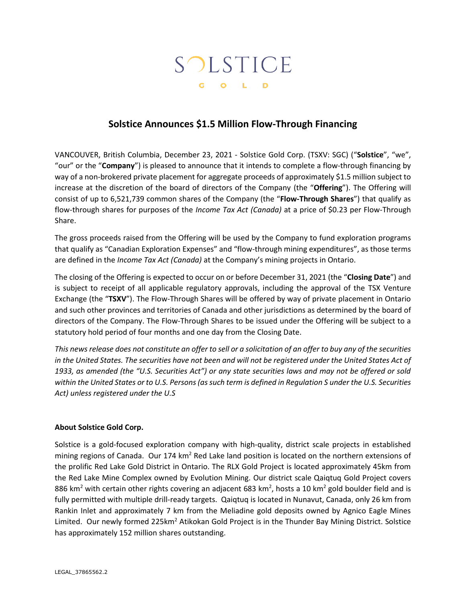# SOLSTICE G O L D

## **Solstice Announces \$1.5 Million Flow-Through Financing**

VANCOUVER, British Columbia, December 23, 2021 - Solstice Gold Corp. (TSXV: SGC) ("**Solstice**", "we", "our" or the "**Company**") is pleased to announce that it intends to complete a flow-through financing by way of a non-brokered private placement for aggregate proceeds of approximately \$1.5 million subject to increase at the discretion of the board of directors of the Company (the "**Offering**"). The Offering will consist of up to 6,521,739 common shares of the Company (the "**Flow-Through Shares**") that qualify as flow-through shares for purposes of the *Income Tax Act (Canada)* at a price of \$0.23 per Flow-Through Share.

The gross proceeds raised from the Offering will be used by the Company to fund exploration programs that qualify as "Canadian Exploration Expenses" and "flow-through mining expenditures", as those terms are defined in the *Income Tax Act (Canada)* at the Company's mining projects in Ontario.

The closing of the Offering is expected to occur on or before December 31, 2021 (the "**Closing Date**") and is subject to receipt of all applicable regulatory approvals, including the approval of the TSX Venture Exchange (the "**TSXV**"). The Flow-Through Shares will be offered by way of private placement in Ontario and such other provinces and territories of Canada and other jurisdictions as determined by the board of directors of the Company. The Flow-Through Shares to be issued under the Offering will be subject to a statutory hold period of four months and one day from the Closing Date.

*This news release does not constitute an offer to sell or a solicitation of an offer to buy any of the securities in the United States. The securities have not been and will not be registered under the United States Act of 1933, as amended (the "U.S. Securities Act") or any state securities laws and may not be offered or sold within the United States or to U.S. Persons (as such term is defined in Regulation S under the U.S. Securities Act) unless registered under the U.S*

### **About Solstice Gold Corp.**

Solstice is a gold-focused exploration company with high-quality, district scale projects in established mining regions of Canada. Our 174 km<sup>2</sup> Red Lake land position is located on the northern extensions of the prolific Red Lake Gold District in Ontario. The RLX Gold Project is located approximately 45km from the Red Lake Mine Complex owned by Evolution Mining. Our district scale Qaiqtuq Gold Project covers 886 km<sup>2</sup> with certain other rights covering an adjacent 683 km<sup>2</sup>, hosts a 10 km<sup>2</sup> gold boulder field and is fully permitted with multiple drill-ready targets. Qaiqtuq is located in Nunavut, Canada, only 26 km from Rankin Inlet and approximately 7 km from the Meliadine gold deposits owned by Agnico Eagle Mines Limited. Our newly formed 225km<sup>2</sup> Atikokan Gold Project is in the Thunder Bay Mining District. Solstice has approximately 152 million shares outstanding.